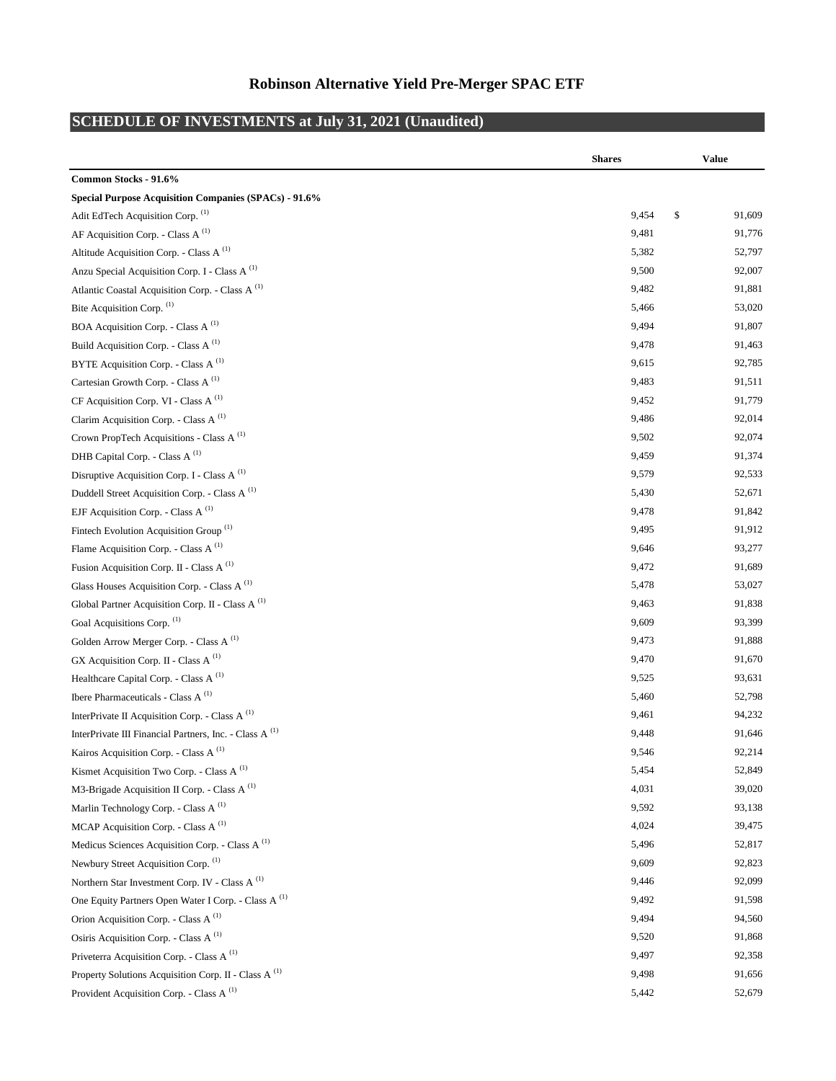## **Robinson Alternative Yield Pre-Merger SPAC ETF**

## **SCHEDULE OF INVESTMENTS at July 31, 2021 (Unaudited)**

|                                                                      | <b>Shares</b> | <b>Value</b> |
|----------------------------------------------------------------------|---------------|--------------|
| Common Stocks - 91.6%                                                |               |              |
| <b>Special Purpose Acquisition Companies (SPACs) - 91.6%</b>         |               |              |
| Adit EdTech Acquisition Corp. (1)                                    | 9,454         | \$<br>91,609 |
| AF Acquisition Corp. - Class A <sup>(1)</sup>                        | 9,481         | 91,776       |
| Altitude Acquisition Corp. - Class A <sup>(1)</sup>                  | 5,382         | 52,797       |
| Anzu Special Acquisition Corp. I - Class A <sup>(1)</sup>            | 9,500         | 92,007       |
| Atlantic Coastal Acquisition Corp. - Class A <sup>(1)</sup>          | 9,482         | 91,881       |
| Bite Acquisition Corp. (1)                                           | 5,466         | 53,020       |
| BOA Acquisition Corp. - Class A <sup>(1)</sup>                       | 9,494         | 91,807       |
| Build Acquisition Corp. - Class A <sup>(1)</sup>                     | 9,478         | 91,463       |
| BYTE Acquisition Corp. - Class A <sup>(1)</sup>                      | 9,615         | 92,785       |
| Cartesian Growth Corp. - Class A <sup>(1)</sup>                      | 9,483         | 91,511       |
| CF Acquisition Corp. VI - Class A <sup>(1)</sup>                     | 9,452         | 91,779       |
| Clarim Acquisition Corp. - Class A <sup>(1)</sup>                    | 9,486         | 92,014       |
| Crown PropTech Acquisitions - Class A <sup>(1)</sup>                 | 9,502         | 92,074       |
| DHB Capital Corp. - Class A <sup>(1)</sup>                           | 9,459         | 91,374       |
| Disruptive Acquisition Corp. I - Class A <sup>(1)</sup>              | 9,579         | 92,533       |
| Duddell Street Acquisition Corp. - Class A <sup>(1)</sup>            | 5,430         | 52,671       |
| EJF Acquisition Corp. - Class A $(1)$                                | 9,478         | 91,842       |
| Fintech Evolution Acquisition Group <sup>(1)</sup>                   | 9,495         | 91,912       |
| Flame Acquisition Corp. - Class A <sup>(1)</sup>                     | 9,646         | 93,277       |
| Fusion Acquisition Corp. II - Class A <sup>(1)</sup>                 | 9,472         | 91,689       |
| Glass Houses Acquisition Corp. - Class A <sup>(1)</sup>              | 5,478         | 53,027       |
| Global Partner Acquisition Corp. II - Class A <sup>(1)</sup>         | 9,463         | 91,838       |
| Goal Acquisitions Corp. (1)                                          | 9,609         | 93,399       |
| Golden Arrow Merger Corp. - Class A <sup>(1)</sup>                   | 9,473         | 91,888       |
| GX Acquisition Corp. II - Class A <sup>(1)</sup>                     | 9,470         | 91,670       |
| Healthcare Capital Corp. - Class A <sup>(1)</sup>                    | 9,525         | 93,631       |
| Ibere Pharmaceuticals - Class A <sup>(1)</sup>                       | 5,460         | 52,798       |
| InterPrivate II Acquisition Corp. - Class A $(1)$                    | 9,461         | 94,232       |
| InterPrivate III Financial Partners, Inc. - Class A <sup>(1)</sup>   | 9,448         | 91,646       |
| Kairos Acquisition Corp. - Class A $^{(1)}$                          | 9,546         | 92,214       |
| Kismet Acquisition Two Corp. - Class A $^{(1)}$                      | 5,454         | 52,849       |
| M3-Brigade Acquisition II Corp. - Class A <sup>(1)</sup>             | 4,031         | 39,020       |
| Marlin Technology Corp. - Class A <sup>(1)</sup>                     | 9,592         | 93,138       |
| MCAP Acquisition Corp. - Class A <sup>(1)</sup>                      | 4,024         | 39,475       |
| Medicus Sciences Acquisition Corp. - Class A <sup>(1)</sup>          | 5,496         | 52,817       |
| Newbury Street Acquisition Corp. (1)                                 | 9,609         | 92,823       |
| Northern Star Investment Corp. IV - Class A <sup>(1)</sup>           | 9,446         | 92,099       |
| One Equity Partners Open Water I Corp. - Class A $^{\left(1\right)}$ | 9,492         | 91,598       |
| Orion Acquisition Corp. - Class A <sup>(1)</sup>                     | 9,494         | 94,560       |
| Osiris Acquisition Corp. - Class A <sup>(1)</sup>                    | 9,520         | 91,868       |
| Priveterra Acquisition Corp. - Class A <sup>(1)</sup>                | 9,497         | 92,358       |
| Property Solutions Acquisition Corp. II - Class A <sup>(1)</sup>     | 9,498         | 91,656       |
| Provident Acquisition Corp. - Class A <sup>(1)</sup>                 | 5,442         | 52,679       |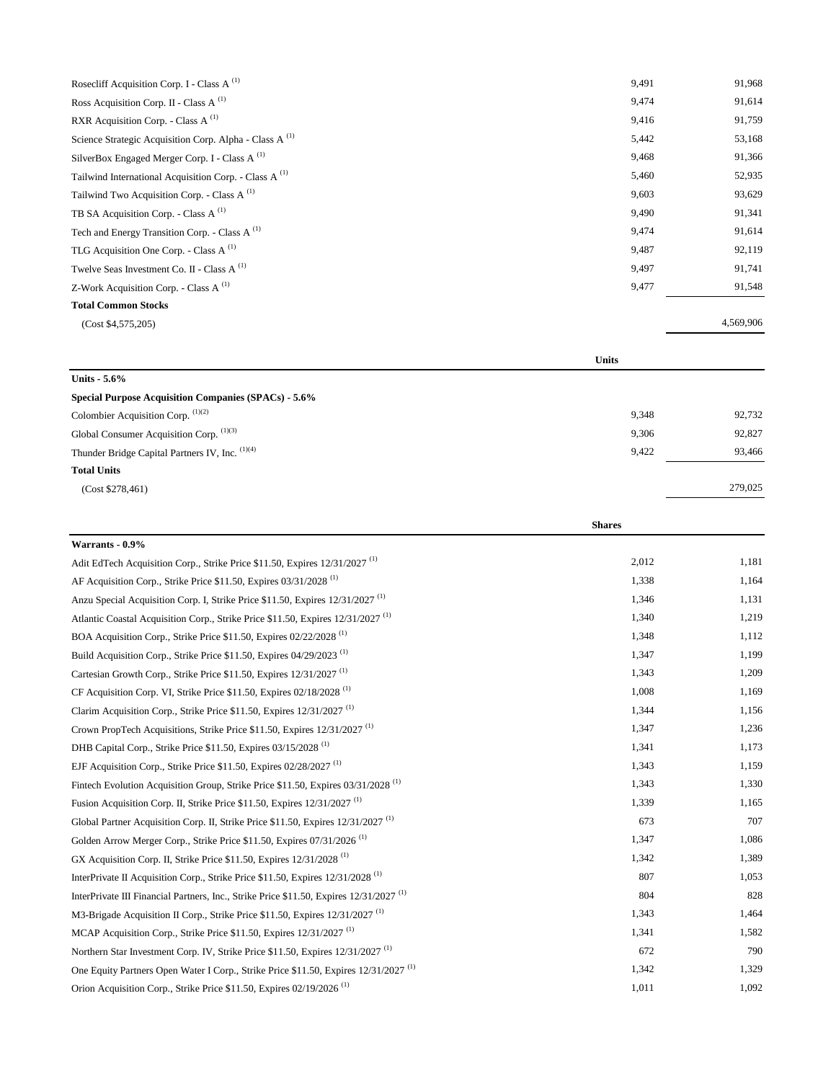| Rosecliff Acquisition Corp. I - Class A $(1)$                      | 9,491 | 91,968    |
|--------------------------------------------------------------------|-------|-----------|
| Ross Acquisition Corp. II - Class A $^{(1)}$                       | 9,474 | 91,614    |
| RXR Acquisition Corp. - Class A $^{(1)}$                           | 9,416 | 91,759    |
| Science Strategic Acquisition Corp. Alpha - Class A <sup>(1)</sup> | 5,442 | 53,168    |
| SilverBox Engaged Merger Corp. I - Class A <sup>(1)</sup>          | 9,468 | 91,366    |
| Tailwind International Acquisition Corp. - Class A $^{(1)}$        | 5,460 | 52,935    |
| Tailwind Two Acquisition Corp. - Class A $^{(1)}$                  | 9,603 | 93,629    |
| TB SA Acquisition Corp. - Class A $(1)$                            | 9,490 | 91,341    |
| Tech and Energy Transition Corp. - Class A $^{(1)}$                | 9,474 | 91,614    |
| TLG Acquisition One Corp. - Class A $(1)$                          | 9,487 | 92,119    |
| Twelve Seas Investment Co. II - Class A <sup>(1)</sup>             | 9,497 | 91,741    |
| Z-Work Acquisition Corp. - Class A $^{(1)}$                        | 9,477 | 91,548    |
| <b>Total Common Stocks</b>                                         |       |           |
| (Cost \$4,575,205)                                                 |       | 4,569,906 |

|                                                             | <b>Units</b> |         |
|-------------------------------------------------------------|--------------|---------|
| Units $-5.6\%$                                              |              |         |
| <b>Special Purpose Acquisition Companies (SPACs) - 5.6%</b> |              |         |
| Colombier Acquisition Corp. (1)(2)                          | 9,348        | 92,732  |
| Global Consumer Acquisition Corp. (1)(3)                    | 9,306        | 92,827  |
| Thunder Bridge Capital Partners IV, Inc. (1)(4)             | 9,422        | 93,466  |
| <b>Total Units</b>                                          |              |         |
| (Cost \$278,461)                                            |              | 279,025 |
|                                                             |              |         |

|                                                                                                    | <b>Shares</b> |       |
|----------------------------------------------------------------------------------------------------|---------------|-------|
| Warrants - 0.9%                                                                                    |               |       |
| Adit EdTech Acquisition Corp., Strike Price \$11.50, Expires 12/31/2027 <sup>(1)</sup>             | 2,012         | 1,181 |
| AF Acquisition Corp., Strike Price \$11.50, Expires 03/31/2028 <sup>(1)</sup>                      | 1,338         | 1,164 |
| Anzu Special Acquisition Corp. I, Strike Price \$11.50, Expires 12/31/2027 <sup>(1)</sup>          | 1,346         | 1,131 |
| Atlantic Coastal Acquisition Corp., Strike Price \$11.50, Expires 12/31/2027 <sup>(1)</sup>        | 1,340         | 1,219 |
| BOA Acquisition Corp., Strike Price \$11.50, Expires 02/22/2028 <sup>(1)</sup>                     | 1,348         | 1,112 |
| Build Acquisition Corp., Strike Price \$11.50, Expires $04/29/2023$ <sup>(1)</sup>                 | 1,347         | 1,199 |
| Cartesian Growth Corp., Strike Price \$11.50, Expires 12/31/2027 <sup>(1)</sup>                    | 1,343         | 1,209 |
| CF Acquisition Corp. VI, Strike Price \$11.50, Expires $02/18/2028$ <sup>(1)</sup>                 | 1,008         | 1,169 |
| Clarim Acquisition Corp., Strike Price \$11.50, Expires 12/31/2027 <sup>(1)</sup>                  | 1,344         | 1,156 |
| Crown PropTech Acquisitions, Strike Price \$11.50, Expires 12/31/2027 <sup>(1)</sup>               | 1,347         | 1,236 |
| DHB Capital Corp., Strike Price \$11.50, Expires 03/15/2028 <sup>(1)</sup>                         | 1,341         | 1,173 |
| EJF Acquisition Corp., Strike Price \$11.50, Expires $02/28/2027$ <sup>(1)</sup>                   | 1,343         | 1,159 |
| Fintech Evolution Acquisition Group, Strike Price \$11.50, Expires 03/31/2028 <sup>(1)</sup>       | 1,343         | 1,330 |
| Fusion Acquisition Corp. II, Strike Price \$11.50, Expires 12/31/2027 <sup>(1)</sup>               | 1,339         | 1,165 |
| Global Partner Acquisition Corp. II, Strike Price \$11.50, Expires 12/31/2027 <sup>(1)</sup>       | 673           | 707   |
| Golden Arrow Merger Corp., Strike Price \$11.50, Expires 07/31/2026 <sup>(1)</sup>                 | 1,347         | 1,086 |
| GX Acquisition Corp. II, Strike Price \$11.50, Expires 12/31/2028 <sup>(1)</sup>                   | 1,342         | 1,389 |
| InterPrivate II Acquisition Corp., Strike Price \$11.50, Expires 12/31/2028 <sup>(1)</sup>         | 807           | 1,053 |
| InterPrivate III Financial Partners, Inc., Strike Price \$11.50, Expires 12/31/2027 <sup>(1)</sup> | 804           | 828   |
| M3-Brigade Acquisition II Corp., Strike Price \$11.50, Expires 12/31/2027 <sup>(1)</sup>           | 1.343         | 1,464 |
| MCAP Acquisition Corp., Strike Price \$11.50, Expires $12/31/2027$ <sup>(1)</sup>                  | 1,341         | 1,582 |
| Northern Star Investment Corp. IV, Strike Price \$11.50, Expires 12/31/2027 <sup>(1)</sup>         | 672           | 790   |
| One Equity Partners Open Water I Corp., Strike Price \$11.50, Expires 12/31/2027 <sup>(1)</sup>    | 1,342         | 1,329 |
| Orion Acquisition Corp., Strike Price \$11.50, Expires 02/19/2026 <sup>(1)</sup>                   | 1,011         | 1,092 |